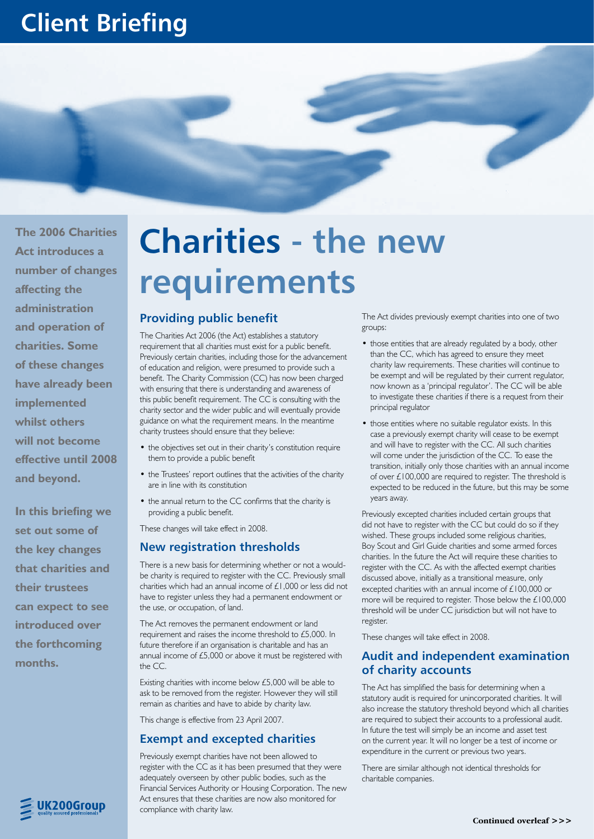# **Client Briefing**



**The 2006 Charities Act introduces a number of changes affecting the administration and operation of charities. Some of these changes have already been implemented whilst others will not become effective until 2008 and beyond.**

**In this briefing we set out some of the key changes that charities and their trustees can expect to see introduced over the forthcoming months.** 

# **Charities - the new requirements**

#### **Providing public benefit**

The Charities Act 2006 (the Act) establishes a statutory requirement that all charities must exist for a public benefit. Previously certain charities, including those for the advancement of education and religion, were presumed to provide such a benefit. The Charity Commission (CC) has now been charged with ensuring that there is understanding and awareness of this public benefit requirement. The CC is consulting with the charity sector and the wider public and will eventually provide guidance on what the requirement means. In the meantime charity trustees should ensure that they believe:

- the objectives set out in their charity's constitution require them to provide a public benefit
- the Trustees' report outlines that the activities of the charity are in line with its constitution
- the annual return to the CC confirms that the charity is providing a public benefit.

These changes will take effect in 2008.

#### **New registration thresholds**

There is a new basis for determining whether or not a wouldbe charity is required to register with the CC. Previously small charities which had an annual income of £1,000 or less did not have to register unless they had a permanent endowment or the use, or occupation, of land.

The Act removes the permanent endowment or land requirement and raises the income threshold to £5,000. In future therefore if an organisation is charitable and has an annual income of £5,000 or above it must be registered with the CC.

Existing charities with income below £5,000 will be able to ask to be removed from the register. However they will still remain as charities and have to abide by charity law.

This change is effective from 23 April 2007.

#### **Exempt and excepted charities**

Previously exempt charities have not been allowed to register with the CC as it has been presumed that they were adequately overseen by other public bodies, such as the Financial Services Authority or Housing Corporation. The new Act ensures that these charities are now also monitored for compliance with charity law.

The Act divides previously exempt charities into one of two groups:

- those entities that are already regulated by a body, other than the CC, which has agreed to ensure they meet charity law requirements. These charities will continue to be exempt and will be regulated by their current regulator, now known as a 'principal regulator'. The CC will be able to investigate these charities if there is a request from their principal regulator
- those entities where no suitable regulator exists. In this case a previously exempt charity will cease to be exempt and will have to register with the CC. All such charities will come under the jurisdiction of the CC. To ease the transition, initially only those charities with an annual income of over £100,000 are required to register. The threshold is expected to be reduced in the future, but this may be some years away.

Previously excepted charities included certain groups that did not have to register with the CC but could do so if they wished. These groups included some religious charities, Boy Scout and Girl Guide charities and some armed forces charities. In the future the Act will require these charities to register with the CC. As with the affected exempt charities discussed above, initially as a transitional measure, only excepted charities with an annual income of £100,000 or more will be required to register. Those below the £100,000 threshold will be under CC jurisdiction but will not have to register.

These changes will take effect in 2008.

#### **Audit and independent examination of charity accounts**

The Act has simplified the basis for determining when a statutory audit is required for unincorporated charities. It will also increase the statutory threshold beyond which all charities are required to subject their accounts to a professional audit. In future the test will simply be an income and asset test on the current year. It will no longer be a test of income or expenditure in the current or previous two years.

There are similar although not identical thresholds for charitable companies.